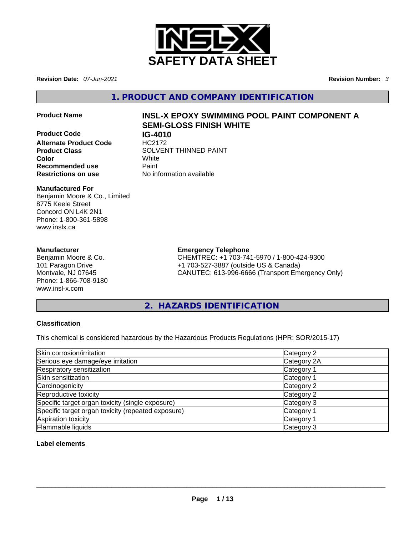

**Revision Date:** *07-Jun-2021* **Revision Number:** *3*

**1. PRODUCT AND COMPANY IDENTIFICATION** 

**Product Code IG-4010 Alternate Product Code HC2172 Color** White **Recommended use Paint** 

# **Product Name INSL-X EPOXY SWIMMING POOL PAINT COMPONENT A SEMI-GLOSS FINISH WHITE**

**Product Class SOLVENT THINNED PAINT Restrictions on use** No information available

# **Manufactured For**

Benjamin Moore & Co., Limited 8775 Keele Street Concord ON L4K 2N1 Phone: 1-800-361-5898 www.inslx.ca

# **Manufacturer**

Benjamin Moore & Co. 101 Paragon Drive Montvale, NJ 07645 Phone: 1-866-708-9180 www.insl-x.com

# **Emergency Telephone**

CHEMTREC: +1 703-741-5970 / 1-800-424-9300 +1 703-527-3887 (outside US & Canada) CANUTEC: 613-996-6666 (Transport Emergency Only)

# **2. HAZARDS IDENTIFICATION**

# **Classification**

This chemical is considered hazardous by the Hazardous Products Regulations (HPR: SOR/2015-17)

| Skin corrosion/irritation                          | Category 2            |
|----------------------------------------------------|-----------------------|
| Serious eye damage/eye irritation                  | Category 2A           |
| Respiratory sensitization                          | Category 1            |
| Skin sensitization                                 | Category 1            |
| Carcinogenicity                                    | Category 2            |
| Reproductive toxicity                              | Category 2            |
| Specific target organ toxicity (single exposure)   | Category 3            |
| Specific target organ toxicity (repeated exposure) | Category <sup>2</sup> |
| Aspiration toxicity                                | Category 1            |
| <b>Flammable liquids</b>                           | Category 3            |

# **Label elements**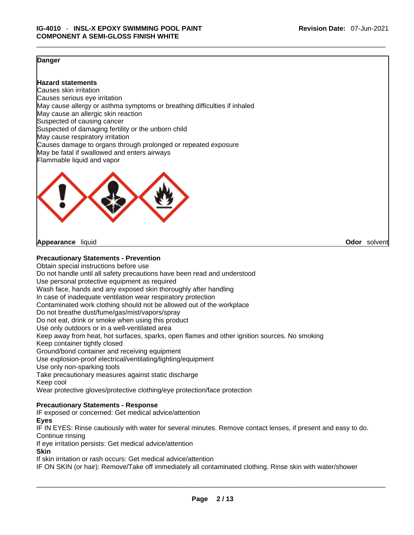# **Danger**

# **Hazard statements**

Causes skin irritation Causes serious eye irritation May cause allergy or asthma symptoms or breathing difficulties if inhaled May cause an allergic skin reaction Suspected of causing cancer Suspected of damaging fertility or the unborn child May cause respiratory irritation Causes damage to organs through prolonged or repeated exposure May be fatal if swallowed and enters airways Flammable liquid and vapor



**Appearance** liquid **Odor** solvent

# **Precautionary Statements - Prevention**

Obtain special instructions before use Do not handle until all safety precautions have been read and understood Use personal protective equipment as required Wash face, hands and any exposed skin thoroughly after handling In case of inadequate ventilation wear respiratory protection Contaminated work clothing should not be allowed out of the workplace Do not breathe dust/fume/gas/mist/vapors/spray Do not eat, drink or smoke when using this product Use only outdoors or in a well-ventilated area Keep away from heat, hot surfaces, sparks, open flames and other ignition sources. No smoking Keep container tightly closed Ground/bond container and receiving equipment Use explosion-proof electrical/ventilating/lighting/equipment Use only non-sparking tools Take precautionary measures against static discharge Keep cool Wear protective gloves/protective clothing/eye protection/face protection **Precautionary Statements - Response** IF exposed or concerned: Get medical advice/attention **Eyes**

\_\_\_\_\_\_\_\_\_\_\_\_\_\_\_\_\_\_\_\_\_\_\_\_\_\_\_\_\_\_\_\_\_\_\_\_\_\_\_\_\_\_\_\_\_\_\_\_\_\_\_\_\_\_\_\_\_\_\_\_\_\_\_\_\_\_\_\_\_\_\_\_\_\_\_\_\_\_\_\_\_\_\_\_\_\_\_\_\_\_\_\_\_

IF IN EYES: Rinse cautiously with water for several minutes. Remove contact lenses, if present and easy to do. Continue rinsing

If eye irritation persists: Get medical advice/attention

**Skin**

If skin irritation or rash occurs: Get medical advice/attention

IF ON SKIN (or hair): Remove/Take off immediately all contaminated clothing. Rinse skin with water/shower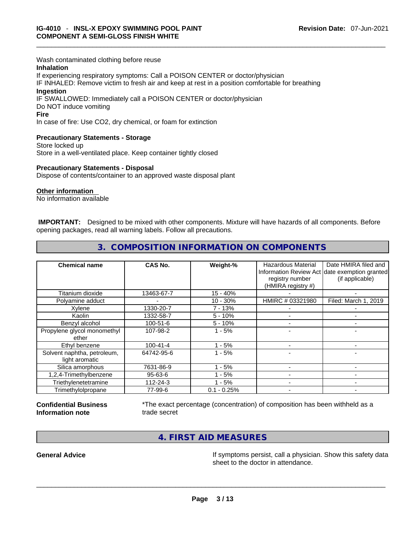Wash contaminated clothing before reuse

#### **Inhalation**

If experiencing respiratory symptoms: Call a POISON CENTER or doctor/physician IF INHALED: Remove victim to fresh air and keep at rest in a position comfortable for breathing **Ingestion** IF SWALLOWED: Immediately call a POISON CENTER or doctor/physician Do NOT induce vomiting

#### **Fire**

In case of fire: Use CO2, dry chemical, or foam for extinction

# **Precautionary Statements - Storage**

Store locked up Store in a well-ventilated place. Keep container tightly closed

#### **Precautionary Statements - Disposal**

Dispose of contents/container to an approved waste disposal plant

#### **Other information**

No information available

 **IMPORTANT:** Designed to be mixed with other components. Mixture will have hazards of all components. Before opening packages, read all warning labels. Follow all precautions.

\_\_\_\_\_\_\_\_\_\_\_\_\_\_\_\_\_\_\_\_\_\_\_\_\_\_\_\_\_\_\_\_\_\_\_\_\_\_\_\_\_\_\_\_\_\_\_\_\_\_\_\_\_\_\_\_\_\_\_\_\_\_\_\_\_\_\_\_\_\_\_\_\_\_\_\_\_\_\_\_\_\_\_\_\_\_\_\_\_\_\_\_\_

# **3. COMPOSITION INFORMATION ON COMPONENTS**

| <b>Chemical name</b>                          | CAS No.        | Weight-%      | Hazardous Material<br>registry number<br>(HMIRA registry #) | Date HMIRA filed and<br>Information Review Act date exemption granted<br>(if applicable) |
|-----------------------------------------------|----------------|---------------|-------------------------------------------------------------|------------------------------------------------------------------------------------------|
| Titanium dioxide                              | 13463-67-7     | $15 - 40%$    |                                                             |                                                                                          |
| Polyamine adduct                              |                | $10 - 30%$    | HMIRC # 03321980                                            | Filed: March 1, 2019                                                                     |
| Xylene                                        | 1330-20-7      | $7 - 13%$     |                                                             |                                                                                          |
| Kaolin                                        | 1332-58-7      | $5 - 10%$     |                                                             |                                                                                          |
| Benzyl alcohol                                | $100 - 51 - 6$ | $5 - 10%$     |                                                             | -                                                                                        |
| Propylene glycol monomethyl<br>ether          | 107-98-2       | $1 - 5%$      |                                                             |                                                                                          |
| Ethyl benzene                                 | $100 - 41 - 4$ | $-5%$         |                                                             |                                                                                          |
| Solvent naphtha, petroleum,<br>light aromatic | 64742-95-6     | $1 - 5%$      |                                                             |                                                                                          |
| Silica amorphous                              | 7631-86-9      | $1 - 5%$      |                                                             |                                                                                          |
| 1,2,4-Trimethylbenzene                        | 95-63-6        | - 5%          |                                                             | -                                                                                        |
| Triethylenetetramine                          | 112-24-3       | $1 - 5%$      |                                                             |                                                                                          |
| Trimethylolpropane                            | 77-99-6        | $0.1 - 0.25%$ |                                                             |                                                                                          |

#### **Confidential Business Information note**

\*The exact percentage (concentration) of composition has been withheld as a trade secret

**4. FIRST AID MEASURES** 

**General Advice If** symptoms persist, call a physician. Show this safety data<br>
sheet to the doctor in attendance. sheet to the doctor in attendance. \_\_\_\_\_\_\_\_\_\_\_\_\_\_\_\_\_\_\_\_\_\_\_\_\_\_\_\_\_\_\_\_\_\_\_\_\_\_\_\_\_\_\_\_\_\_\_\_\_\_\_\_\_\_\_\_\_\_\_\_\_\_\_\_\_\_\_\_\_\_\_\_\_\_\_\_\_\_\_\_\_\_\_\_\_\_\_\_\_\_\_\_\_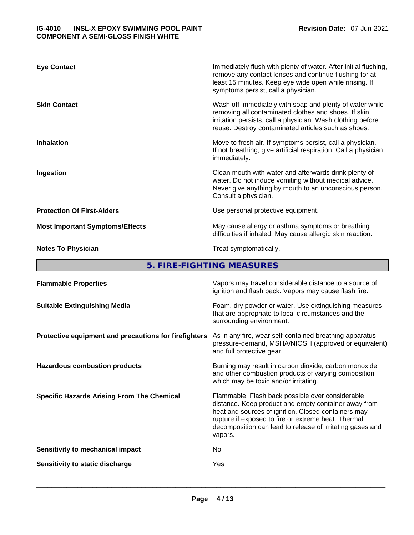| <b>Eye Contact</b>                     | Immediately flush with plenty of water. After initial flushing,<br>remove any contact lenses and continue flushing for at<br>least 15 minutes. Keep eye wide open while rinsing. If<br>symptoms persist, call a physician.             |
|----------------------------------------|----------------------------------------------------------------------------------------------------------------------------------------------------------------------------------------------------------------------------------------|
| <b>Skin Contact</b>                    | Wash off immediately with soap and plenty of water while<br>removing all contaminated clothes and shoes. If skin<br>irritation persists, call a physician. Wash clothing before<br>reuse. Destroy contaminated articles such as shoes. |
| <b>Inhalation</b>                      | Move to fresh air. If symptoms persist, call a physician.<br>If not breathing, give artificial respiration. Call a physician<br>immediately.                                                                                           |
| Ingestion                              | Clean mouth with water and afterwards drink plenty of<br>water. Do not induce vomiting without medical advice.<br>Never give anything by mouth to an unconscious person.<br>Consult a physician.                                       |
| <b>Protection Of First-Aiders</b>      | Use personal protective equipment.                                                                                                                                                                                                     |
| <b>Most Important Symptoms/Effects</b> | May cause allergy or asthma symptoms or breathing<br>difficulties if inhaled. May cause allergic skin reaction.                                                                                                                        |
| <b>Notes To Physician</b>              | Treat symptomatically.                                                                                                                                                                                                                 |

**5. FIRE-FIGHTING MEASURES** 

| <b>Flammable Properties</b>                           | Vapors may travel considerable distance to a source of<br>ignition and flash back. Vapors may cause flash fire.                                                                                                                                                                                |
|-------------------------------------------------------|------------------------------------------------------------------------------------------------------------------------------------------------------------------------------------------------------------------------------------------------------------------------------------------------|
| <b>Suitable Extinguishing Media</b>                   | Foam, dry powder or water. Use extinguishing measures<br>that are appropriate to local circumstances and the<br>surrounding environment.                                                                                                                                                       |
| Protective equipment and precautions for firefighters | As in any fire, wear self-contained breathing apparatus<br>pressure-demand, MSHA/NIOSH (approved or equivalent)<br>and full protective gear.                                                                                                                                                   |
| <b>Hazardous combustion products</b>                  | Burning may result in carbon dioxide, carbon monoxide<br>and other combustion products of varying composition<br>which may be toxic and/or irritating.                                                                                                                                         |
| <b>Specific Hazards Arising From The Chemical</b>     | Flammable. Flash back possible over considerable<br>distance. Keep product and empty container away from<br>heat and sources of ignition. Closed containers may<br>rupture if exposed to fire or extreme heat. Thermal<br>decomposition can lead to release of irritating gases and<br>vapors. |
| Sensitivity to mechanical impact                      | No                                                                                                                                                                                                                                                                                             |
| Sensitivity to static discharge                       | Yes                                                                                                                                                                                                                                                                                            |
|                                                       |                                                                                                                                                                                                                                                                                                |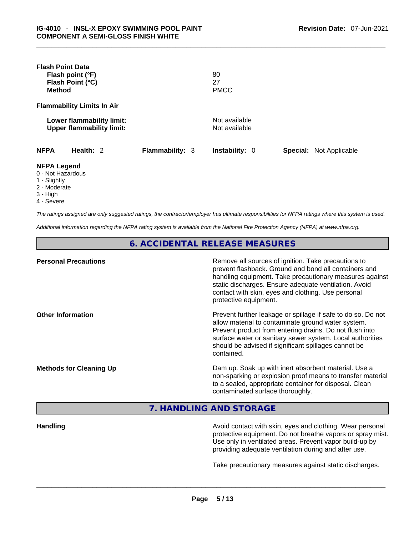| <b>Flash Point Data</b><br>Flash point (°F)<br>Flash Point (°C)<br><b>Method</b>                  |                 | 80<br>27<br><b>PMCC</b>        |                                |  |
|---------------------------------------------------------------------------------------------------|-----------------|--------------------------------|--------------------------------|--|
| <b>Flammability Limits In Air</b>                                                                 |                 |                                |                                |  |
| Lower flammability limit:<br><b>Upper flammability limit:</b>                                     |                 | Not available<br>Not available |                                |  |
| Health: 2<br><b>NFPA</b>                                                                          | Flammability: 3 | <b>Instability: 0</b>          | <b>Special: Not Applicable</b> |  |
| <b>NFPA Legend</b><br>0 - Not Hazardous<br>1 - Slightly<br>2 - Moderate<br>3 - High<br>4 - Severe |                 |                                |                                |  |

\_\_\_\_\_\_\_\_\_\_\_\_\_\_\_\_\_\_\_\_\_\_\_\_\_\_\_\_\_\_\_\_\_\_\_\_\_\_\_\_\_\_\_\_\_\_\_\_\_\_\_\_\_\_\_\_\_\_\_\_\_\_\_\_\_\_\_\_\_\_\_\_\_\_\_\_\_\_\_\_\_\_\_\_\_\_\_\_\_\_\_\_\_

*The ratings assigned are only suggested ratings, the contractor/employer has ultimate responsibilities for NFPA ratings where this system is used.* 

*Additional information regarding the NFPA rating system is available from the National Fire Protection Agency (NFPA) at www.nfpa.org.* 

**6. ACCIDENTAL RELEASE MEASURES** 

| <b>Personal Precautions</b>    | Remove all sources of ignition. Take precautions to<br>prevent flashback. Ground and bond all containers and<br>handling equipment. Take precautionary measures against<br>static discharges. Ensure adequate ventilation. Avoid<br>contact with skin, eyes and clothing. Use personal<br>protective equipment.  |
|--------------------------------|------------------------------------------------------------------------------------------------------------------------------------------------------------------------------------------------------------------------------------------------------------------------------------------------------------------|
| <b>Other Information</b>       | Prevent further leakage or spillage if safe to do so. Do not<br>allow material to contaminate ground water system.<br>Prevent product from entering drains. Do not flush into<br>surface water or sanitary sewer system. Local authorities<br>should be advised if significant spillages cannot be<br>contained. |
| <b>Methods for Cleaning Up</b> | Dam up. Soak up with inert absorbent material. Use a<br>non-sparking or explosion proof means to transfer material<br>to a sealed, appropriate container for disposal. Clean<br>contaminated surface thoroughly.                                                                                                 |

**7. HANDLING AND STORAGE** 

**Handling Handling Avoid contact with skin, eyes and clothing. Wear personal** protective equipment. Do not breathe vapors or spray mist. Use only in ventilated areas. Prevent vapor build-up by providing adequate ventilation during and after use.

Take precautionary measures against static discharges.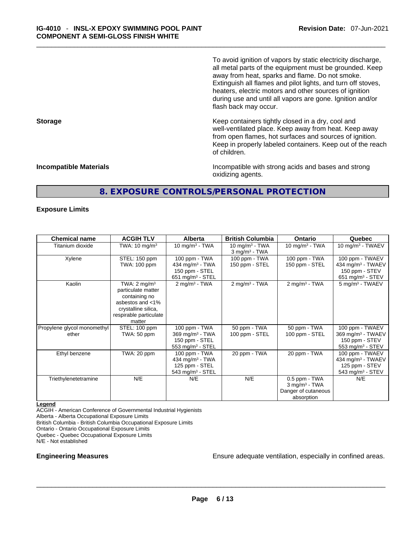To avoid ignition of vapors by static electricity discharge, all metal parts of the equipment must be grounded. Keep away from heat, sparks and flame. Do not smoke. Extinguish all flames and pilot lights, and turn off stoves, heaters, electric motors and other sources of ignition during use and until all vapors are gone. Ignition and/or flash back may occur.

**Storage Example 20 and Storage 1.1 and Storage 1.1 and Storage 1.1 and Storage 1.1 and Storage 1.1 and Storage 1.1 and Storage 1.1 and Storage 1.1 and Storage 1.1 and Storage 1.1 and Storage 1.1 and Storage 1.1 and Stor** well-ventilated place. Keep away from heat. Keep away from open flames, hot surfaces and sources of ignition. Keep in properly labeled containers. Keep out of the reach of children.

**Incompatible Materials Incompatible with strong acids and bases and strong** oxidizing agents.

# **8. EXPOSURE CONTROLS/PERSONAL PROTECTION**

\_\_\_\_\_\_\_\_\_\_\_\_\_\_\_\_\_\_\_\_\_\_\_\_\_\_\_\_\_\_\_\_\_\_\_\_\_\_\_\_\_\_\_\_\_\_\_\_\_\_\_\_\_\_\_\_\_\_\_\_\_\_\_\_\_\_\_\_\_\_\_\_\_\_\_\_\_\_\_\_\_\_\_\_\_\_\_\_\_\_\_\_\_

# **Exposure Limits**

| <b>Chemical name</b>                 | <b>ACGIH TLV</b>                                                                                                                              | <b>Alberta</b>                                                                                 | <b>British Columbia</b>                          | <b>Ontario</b>                                                                    | Quebec                                                                                             |
|--------------------------------------|-----------------------------------------------------------------------------------------------------------------------------------------------|------------------------------------------------------------------------------------------------|--------------------------------------------------|-----------------------------------------------------------------------------------|----------------------------------------------------------------------------------------------------|
| Titanium dioxide                     | TWA: $10 \text{ mg/m}^3$                                                                                                                      | 10 mg/m $3$ - TWA                                                                              | 10 mg/m $3$ - TWA<br>$3$ mg/m <sup>3</sup> - TWA | 10 mg/m $3$ - TWA                                                                 | 10 mg/m $3$ - TWAEV                                                                                |
| Xylene                               | STEL: 150 ppm<br>TWA: 100 ppm                                                                                                                 | 100 ppm - TWA<br>434 mg/m <sup>3</sup> - TWA<br>150 ppm - STEL<br>651 mg/m $3 -$ STEL          | 100 ppm - TWA<br>150 ppm - STEL                  | 100 ppm - TWA<br>150 ppm - STEL                                                   | 100 ppm - TWAEV<br>434 mg/m <sup>3</sup> - TWAEV<br>150 ppm - STEV<br>651 mg/m $3 -$ STEV          |
| Kaolin                               | TWA: $2 \text{ mq/m}^3$<br>particulate matter<br>containing no<br>asbestos and <1%<br>crystalline silica,<br>respirable particulate<br>matter | $2$ mg/m <sup>3</sup> - TWA                                                                    | $2$ mg/m <sup>3</sup> - TWA                      | $2$ mg/m <sup>3</sup> - TWA                                                       | $5$ mg/m <sup>3</sup> - TWAEV                                                                      |
| Propylene glycol monomethyl<br>ether | STEL: 100 ppm<br>TWA: 50 ppm                                                                                                                  | 100 ppm - TWA<br>369 mg/m $3 - TWA$<br>150 ppm - STEL<br>553 mg/m $3 -$ STEL                   | 50 ppm - TWA<br>100 ppm - STEL                   | 50 ppm - TWA<br>100 ppm - STEL                                                    | 100 ppm - TWAEV<br>369 mg/m <sup>3</sup> - TWAEV<br>150 ppm - STEV<br>553 mg/m $3 -$ STEV          |
| Ethyl benzene                        | TWA: 20 ppm                                                                                                                                   | 100 ppm - TWA<br>434 mg/m <sup>3</sup> - TWA<br>125 ppm - STEL<br>543 mg/m <sup>3</sup> - STEL | 20 ppm - TWA                                     | 20 ppm - TWA                                                                      | 100 ppm - TWAEV<br>434 mg/m <sup>3</sup> - TWAEV<br>125 ppm - STEV<br>543 mg/m <sup>3</sup> - STEV |
| Triethylenetetramine                 | N/E                                                                                                                                           | N/E                                                                                            | N/E                                              | 0.5 ppm - TWA<br>$3$ mg/m <sup>3</sup> - TWA<br>Danger of cutaneous<br>absorption | N/E                                                                                                |

#### **Legend**

ACGIH - American Conference of Governmental Industrial Hygienists Alberta - Alberta Occupational Exposure Limits British Columbia - British Columbia Occupational Exposure Limits Ontario - Ontario Occupational Exposure Limits Quebec - Quebec Occupational Exposure Limits N/E - Not established

**Engineering Measures** Ensure adequate ventilation, especially in confined areas. \_\_\_\_\_\_\_\_\_\_\_\_\_\_\_\_\_\_\_\_\_\_\_\_\_\_\_\_\_\_\_\_\_\_\_\_\_\_\_\_\_\_\_\_\_\_\_\_\_\_\_\_\_\_\_\_\_\_\_\_\_\_\_\_\_\_\_\_\_\_\_\_\_\_\_\_\_\_\_\_\_\_\_\_\_\_\_\_\_\_\_\_\_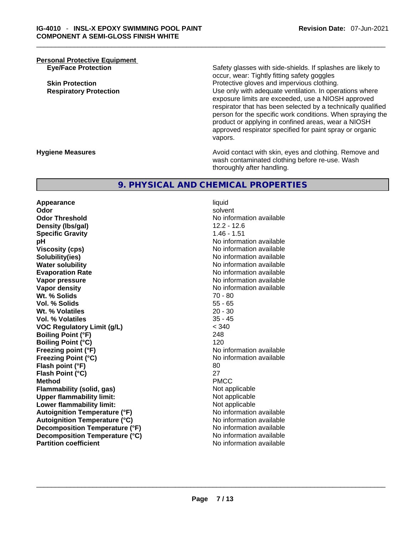**Personal Protective Equipment**

**Eye/Face Protection** Safety glasses with side-shields. If splashes are likely to occur, wear: Tightly fitting safety goggles **Skin Protection Protection Protective gloves and impervious clothing. Respiratory Protection Number 1** (Use only with adequate ventilation. In operations where exposure limits are exceeded, use a NIOSH approved respirator that has been selected by a technically qualified person for the specific work conditions. When spraying the product or applying in confined areas, wear a NIOSH approved respirator specified for paint spray or organic vapors.

**Hygiene Measures Avoid contact with skin, eyes and clothing. Remove and Avoid contact with skin, eyes and clothing. Remove and** wash contaminated clothing before re-use. Wash thoroughly after handling.

# **9. PHYSICAL AND CHEMICAL PROPERTIES**

**Appearance** liquid **Odor Solvent Solvent Solvent Solvent Odor Threshold No information available Density (lbs/gal)** 12.2 - 12.6 **Specific Gravity** 1.46 - 1.51 **pH pH No** information available **Viscosity (cps) Viscosity (cps) No information available Solubility(ies)** No information available **Water solubility No information available No information available Evaporation Rate No information available**<br> **Vapor pressure No information available**<br>
No information available **Vapor density No information available No information available Wt. % Solids** 70 - 80 **Vol. % Solids** 55 - 65 **Wt. % Volatiles** 20 - 30 **Vol. % Volatiles** 35 - 45 **VOC Regulatory Limit (g/L)** < 340 **Boiling Point (°F)** 248 **Boiling Point (°C)** 120 **Freezing point (°F)** No information available **Freezing Point (°C)** The Company of the Monometer of Noinformation available **Flash point (°F)** 80 **Flash Point (°C)** 27 **Method** PMCC **Flammability (solid, gas)** Not applicable **Upper flammability limit:** Not applicable **Lower flammability limit:** Not applicable **Autoignition Temperature (°F)**<br> **Autoignition Temperature (°C)** No information available **Autoignition Temperature (°C) Decomposition Temperature (°F)** No information available **Decomposition Temperature (°C)**<br> **Partition coefficient**<br> **Partition coefficient**<br> **No** information available **Partition coefficient**No information available \_\_\_\_\_\_\_\_\_\_\_\_\_\_\_\_\_\_\_\_\_\_\_\_\_\_\_\_\_\_\_\_\_\_\_\_\_\_\_\_\_\_\_\_\_\_\_\_\_\_\_\_\_\_\_\_\_\_\_\_\_\_\_\_\_\_\_\_\_\_\_\_\_\_\_\_\_\_\_\_\_\_\_\_\_\_\_\_\_\_\_\_\_

**Vapor pressure** No information available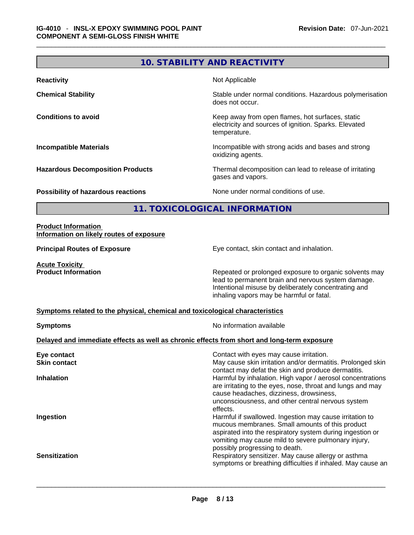# **10. STABILITY AND REACTIVITY**

\_\_\_\_\_\_\_\_\_\_\_\_\_\_\_\_\_\_\_\_\_\_\_\_\_\_\_\_\_\_\_\_\_\_\_\_\_\_\_\_\_\_\_\_\_\_\_\_\_\_\_\_\_\_\_\_\_\_\_\_\_\_\_\_\_\_\_\_\_\_\_\_\_\_\_\_\_\_\_\_\_\_\_\_\_\_\_\_\_\_\_\_\_

| <b>Reactivity</b>                         | Not Applicable                                                                                                            |
|-------------------------------------------|---------------------------------------------------------------------------------------------------------------------------|
| <b>Chemical Stability</b>                 | Stable under normal conditions. Hazardous polymerisation<br>does not occur.                                               |
| <b>Conditions to avoid</b>                | Keep away from open flames, hot surfaces, static<br>electricity and sources of ignition. Sparks. Elevated<br>temperature. |
| <b>Incompatible Materials</b>             | Incompatible with strong acids and bases and strong<br>oxidizing agents.                                                  |
| <b>Hazardous Decomposition Products</b>   | Thermal decomposition can lead to release of irritating<br>gases and vapors.                                              |
| <b>Possibility of hazardous reactions</b> | None under normal conditions of use.                                                                                      |

**11. TOXICOLOGICAL INFORMATION** 

# **Product Information Information on likely routes of exposure**

**Principal Routes of Exposure** Eye contact, skin contact and inhalation.

**Acute Toxicity<br>Product Information** 

Repeated or prolonged exposure to organic solvents may lead to permanent brain and nervous system damage. Intentional misuse by deliberately concentrating and inhaling vapors may be harmful or fatal.

# **Symptoms related to the physical,chemical and toxicological characteristics**

| <b>Symptoms</b>                                                                            | No information available                                                                                                                                                                                                                                         |  |  |  |
|--------------------------------------------------------------------------------------------|------------------------------------------------------------------------------------------------------------------------------------------------------------------------------------------------------------------------------------------------------------------|--|--|--|
| Delayed and immediate effects as well as chronic effects from short and long-term exposure |                                                                                                                                                                                                                                                                  |  |  |  |
| Eye contact                                                                                | Contact with eyes may cause irritation.                                                                                                                                                                                                                          |  |  |  |
| <b>Skin contact</b>                                                                        | May cause skin irritation and/or dermatitis. Prolonged skin<br>contact may defat the skin and produce dermatitis.                                                                                                                                                |  |  |  |
| <b>Inhalation</b>                                                                          | Harmful by inhalation. High vapor / aerosol concentrations<br>are irritating to the eyes, nose, throat and lungs and may<br>cause headaches, dizziness, drowsiness,<br>unconsciousness, and other central nervous system<br>effects.                             |  |  |  |
| Ingestion                                                                                  | Harmful if swallowed. Ingestion may cause irritation to<br>mucous membranes. Small amounts of this product<br>aspirated into the respiratory system during ingestion or<br>vomiting may cause mild to severe pulmonary injury,<br>possibly progressing to death. |  |  |  |
| <b>Sensitization</b>                                                                       | Respiratory sensitizer. May cause allergy or asthma<br>symptoms or breathing difficulties if inhaled. May cause an                                                                                                                                               |  |  |  |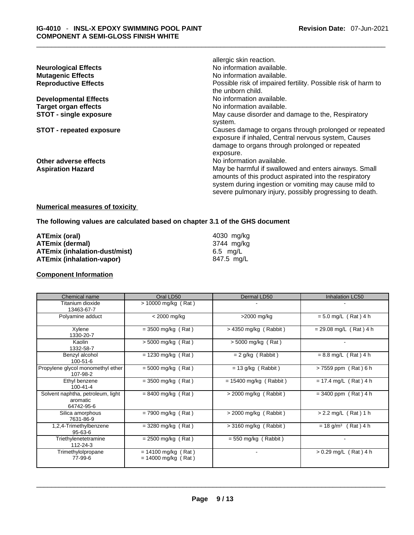|                                 | allergic skin reaction.                                       |
|---------------------------------|---------------------------------------------------------------|
| <b>Neurological Effects</b>     | No information available.                                     |
| <b>Mutagenic Effects</b>        | No information available.                                     |
| <b>Reproductive Effects</b>     | Possible risk of impaired fertility. Possible risk of harm to |
|                                 | the unborn child.                                             |
| <b>Developmental Effects</b>    | No information available.                                     |
| <b>Target organ effects</b>     | No information available.                                     |
| <b>STOT - single exposure</b>   | May cause disorder and damage to the, Respiratory             |
|                                 | system.                                                       |
| <b>STOT - repeated exposure</b> | Causes damage to organs through prolonged or repeated         |
|                                 | exposure if inhaled, Central nervous system, Causes           |
|                                 | damage to organs through prolonged or repeated                |
|                                 | exposure.                                                     |
| Other adverse effects           | No information available.                                     |
| <b>Aspiration Hazard</b>        | May be harmful if swallowed and enters airways. Small         |
|                                 | amounts of this product aspirated into the respiratory        |
|                                 | system during ingestion or vomiting may cause mild to         |
|                                 | severe pulmonary injury, possibly progressing to death.       |
|                                 |                                                               |

\_\_\_\_\_\_\_\_\_\_\_\_\_\_\_\_\_\_\_\_\_\_\_\_\_\_\_\_\_\_\_\_\_\_\_\_\_\_\_\_\_\_\_\_\_\_\_\_\_\_\_\_\_\_\_\_\_\_\_\_\_\_\_\_\_\_\_\_\_\_\_\_\_\_\_\_\_\_\_\_\_\_\_\_\_\_\_\_\_\_\_\_\_

# **Numerical measures of toxicity**

**The following values are calculated based on chapter 3.1 of the GHS document**

| ATEmix (oral)                        | 4030 ma/ka |
|--------------------------------------|------------|
| <b>ATEmix (dermal)</b>               | 3744 ma/ka |
| <b>ATEmix (inhalation-dust/mist)</b> | 6.5 ma/L   |
| <b>ATEmix (inhalation-vapor)</b>     | 847.5 mg/L |

# **Component Information**

| Chemical name                                               | Oral LD50                                      | Dermal LD50              | Inhalation LC50                   |
|-------------------------------------------------------------|------------------------------------------------|--------------------------|-----------------------------------|
| Titanium dioxide<br>13463-67-7                              | $> 10000$ mg/kg (Rat)                          |                          |                                   |
| Polyamine adduct                                            | $<$ 2000 mg/kg                                 | >2000 mg/kg              | $= 5.0$ mg/L (Rat) 4 h            |
| Xylene<br>1330-20-7                                         | $= 3500$ mg/kg (Rat)                           | $> 4350$ mg/kg (Rabbit)  | $= 29.08$ mg/L (Rat) 4 h          |
| Kaolin<br>1332-58-7                                         | $> 5000$ mg/kg (Rat)                           | > 5000 mg/kg (Rat)       |                                   |
| Benzyl alcohol<br>100-51-6                                  | $= 1230$ mg/kg (Rat)                           | $= 2$ g/kg (Rabbit)      | $= 8.8$ mg/L (Rat) 4 h            |
| Propylene glycol monomethyl ether<br>107-98-2               | $= 5000$ mg/kg (Rat)                           | $= 13$ g/kg (Rabbit)     | > 7559 ppm (Rat) 6 h              |
| Ethyl benzene<br>100-41-4                                   | $=$ 3500 mg/kg (Rat)                           | $= 15400$ mg/kg (Rabbit) | $= 17.4$ mg/L (Rat) 4 h           |
| Solvent naphtha, petroleum, light<br>aromatic<br>64742-95-6 | $= 8400$ mg/kg (Rat)                           | $>$ 2000 mg/kg (Rabbit)  | $= 3400$ ppm (Rat) 4 h            |
| Silica amorphous<br>7631-86-9                               | $= 7900$ mg/kg (Rat)                           | $>$ 2000 mg/kg (Rabbit)  | $> 2.2$ mg/L (Rat) 1 h            |
| 1,2,4-Trimethylbenzene<br>95-63-6                           | $=$ 3280 mg/kg (Rat)                           | $>$ 3160 mg/kg (Rabbit)  | $= 18$ g/m <sup>3</sup> (Rat) 4 h |
| Triethylenetetramine<br>112-24-3                            | $= 2500$ mg/kg (Rat)                           | $= 550$ mg/kg (Rabbit)   |                                   |
| Trimethylolpropane<br>77-99-6                               | $= 14100$ mg/kg (Rat)<br>$= 14000$ mg/kg (Rat) |                          | $> 0.29$ mg/L (Rat) 4 h           |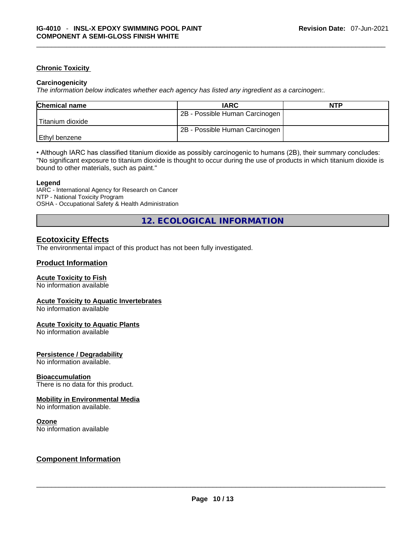# **Chronic Toxicity**

# **Carcinogenicity**

*The information below indicates whether each agency has listed any ingredient as a carcinogen:.* 

| <b>Chemical name</b> | <b>IARC</b>                    | <b>NTP</b> |
|----------------------|--------------------------------|------------|
|                      | 2B - Possible Human Carcinogen |            |
| l Titanium dioxide   |                                |            |
|                      | 2B - Possible Human Carcinogen |            |
| l Ethvl benzene      |                                |            |

\_\_\_\_\_\_\_\_\_\_\_\_\_\_\_\_\_\_\_\_\_\_\_\_\_\_\_\_\_\_\_\_\_\_\_\_\_\_\_\_\_\_\_\_\_\_\_\_\_\_\_\_\_\_\_\_\_\_\_\_\_\_\_\_\_\_\_\_\_\_\_\_\_\_\_\_\_\_\_\_\_\_\_\_\_\_\_\_\_\_\_\_\_

• Although IARC has classified titanium dioxide as possibly carcinogenic to humans (2B), their summary concludes: "No significant exposure to titanium dioxide is thought to occur during the use of products in which titanium dioxide is bound to other materials, such as paint."

#### **Legend**

IARC - International Agency for Research on Cancer NTP - National Toxicity Program OSHA - Occupational Safety & Health Administration

**12. ECOLOGICAL INFORMATION** 

# **Ecotoxicity Effects**

The environmental impact of this product has not been fully investigated.

# **Product Information**

# **Acute Toxicity to Fish**

No information available

# **Acute Toxicity to Aquatic Invertebrates**

No information available

# **Acute Toxicity to Aquatic Plants**

No information available

# **Persistence / Degradability**

No information available.

# **Bioaccumulation**

There is no data for this product.

# **Mobility in Environmental Media**

No information available.

# **Ozone**

# No information available \_\_\_\_\_\_\_\_\_\_\_\_\_\_\_\_\_\_\_\_\_\_\_\_\_\_\_\_\_\_\_\_\_\_\_\_\_\_\_\_\_\_\_\_\_\_\_\_\_\_\_\_\_\_\_\_\_\_\_\_\_\_\_\_\_\_\_\_\_\_\_\_\_\_\_\_\_\_\_\_\_\_\_\_\_\_\_\_\_\_\_\_\_ **Component Information**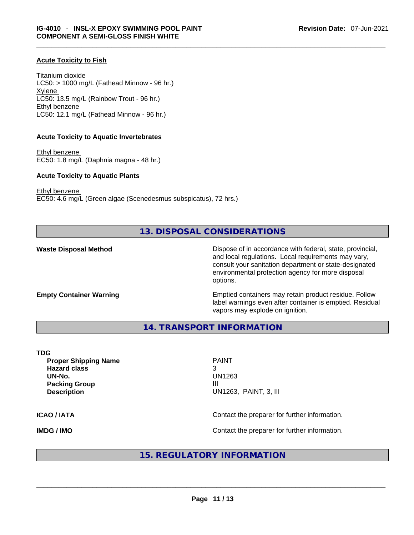# **Acute Toxicity to Fish**

Titanium dioxide  $LC50:$  > 1000 mg/L (Fathead Minnow - 96 hr.) Xylene LC50: 13.5 mg/L (Rainbow Trout - 96 hr.) Ethyl benzene LC50: 12.1 mg/L (Fathead Minnow - 96 hr.)

# **Acute Toxicity to Aquatic Invertebrates**

Ethyl benzene EC50: 1.8 mg/L (Daphnia magna - 48 hr.)

#### **Acute Toxicity to Aquatic Plants**

Ethyl benzene EC50: 4.6 mg/L (Green algae (Scenedesmus subspicatus), 72 hrs.)

# **13. DISPOSAL CONSIDERATIONS**

\_\_\_\_\_\_\_\_\_\_\_\_\_\_\_\_\_\_\_\_\_\_\_\_\_\_\_\_\_\_\_\_\_\_\_\_\_\_\_\_\_\_\_\_\_\_\_\_\_\_\_\_\_\_\_\_\_\_\_\_\_\_\_\_\_\_\_\_\_\_\_\_\_\_\_\_\_\_\_\_\_\_\_\_\_\_\_\_\_\_\_\_\_

**Waste Disposal Method** Dispose of in accordance with federal, state, provincial, and local regulations. Local requirements may vary, consult your sanitation department or state-designated environmental protection agency for more disposal options.

**Empty Container Warning <b>Emptied** Containers may retain product residue. Follow label warnings even after container is emptied. Residual vapors may explode on ignition.

**14. TRANSPORT INFORMATION** 

**TDG** 

**Proper Shipping Name PAINT Hazard class** 3 **UN-No.** UN1263 **Packing Group III Description** UN1263, PAINT, 3, III

**ICAO / IATA ICAO / IATA Contact the preparer for further information.** 

**IMDG / IMO Contact the preparer for further information.** 

# **15. REGULATORY INFORMATION**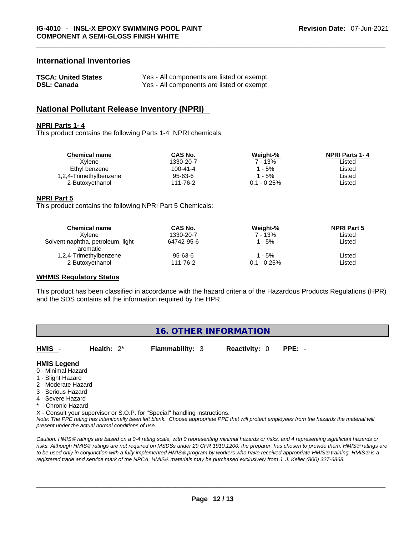# **International Inventories**

| <b>TSCA: United States</b> | Yes - All components are listed or exempt. |
|----------------------------|--------------------------------------------|
| <b>DSL: Canada</b>         | Yes - All components are listed or exempt. |

# **National Pollutant Release Inventory (NPRI)**

#### **NPRI Parts 1- 4**

This product contains the following Parts 1-4 NPRI chemicals:

| Chemical name          | CAS No.   | Weight-%       | <b>NPRI Parts 1-4</b> |
|------------------------|-----------|----------------|-----------------------|
| Xvlene                 | 1330-20-7 | 7 - 13%        | ∟isted                |
| Ethyl benzene          | 100-41-4  | 1 - 5%         | _isted                |
| 1,2,4-Trimethylbenzene | 95-63-6   | 1 - 5%         | _isted                |
| 2-Butoxvethanol        | 111-76-2  | $0.1 - 0.25\%$ | Listed                |
|                        |           |                |                       |

\_\_\_\_\_\_\_\_\_\_\_\_\_\_\_\_\_\_\_\_\_\_\_\_\_\_\_\_\_\_\_\_\_\_\_\_\_\_\_\_\_\_\_\_\_\_\_\_\_\_\_\_\_\_\_\_\_\_\_\_\_\_\_\_\_\_\_\_\_\_\_\_\_\_\_\_\_\_\_\_\_\_\_\_\_\_\_\_\_\_\_\_\_

#### **NPRI Part 5**

This product contains the following NPRI Part 5 Chemicals:

| <b>Chemical name</b>                          | <b>CAS No.</b>            | Weight-%                 | <b>NPRI Part 5</b> |  |
|-----------------------------------------------|---------------------------|--------------------------|--------------------|--|
| Xvlene                                        | 1330-20-7                 | $7 - 13%$                | Listed             |  |
| Solvent naphtha, petroleum, light<br>aromatic | 64742-95-6                | 1 - 5%                   | Listed             |  |
| 1,2,4-Trimethylbenzene<br>2-Butoxyethanol     | $95 - 63 - 6$<br>111-76-2 | 1 - 5%<br>$0.1 - 0.25\%$ | Listed<br>Listed   |  |
|                                               |                           |                          |                    |  |

# **WHMIS Regulatory Status**

This product has been classified in accordance with the hazard criteria of the Hazardous Products Regulations (HPR) and the SDS contains all the information required by the HPR.

# **16. OTHER INFORMATION**

**HMIS** - **Health:** 2\* **Flammability:** 3 **Reactivity:** 0 **PPE:** -

# **HMIS Legend**

- 0 Minimal Hazard
- 1 Slight Hazard
- 2 Moderate Hazard
- 3 Serious Hazard
- 4 Severe Hazard
- \* Chronic Hazard

X - Consult your supervisor or S.O.P. for "Special" handling instructions.

Note: The PPE rating has intentionally been left blank. Choose appropriate PPE that will protect employees from the hazards the material will *present under the actual normal conditions of use.* 

*Caution: HMISÒ ratings are based on a 0-4 rating scale, with 0 representing minimal hazards or risks, and 4 representing significant hazards or risks. Although HMISÒ ratings are not required on MSDSs under 29 CFR 1910.1200, the preparer, has chosen to provide them. HMISÒ ratings are to be used only in conjunction with a fully implemented HMISÒ program by workers who have received appropriate HMISÒ training. HMISÒ is a registered trade and service mark of the NPCA. HMISÒ materials may be purchased exclusively from J. J. Keller (800) 327-6868.*